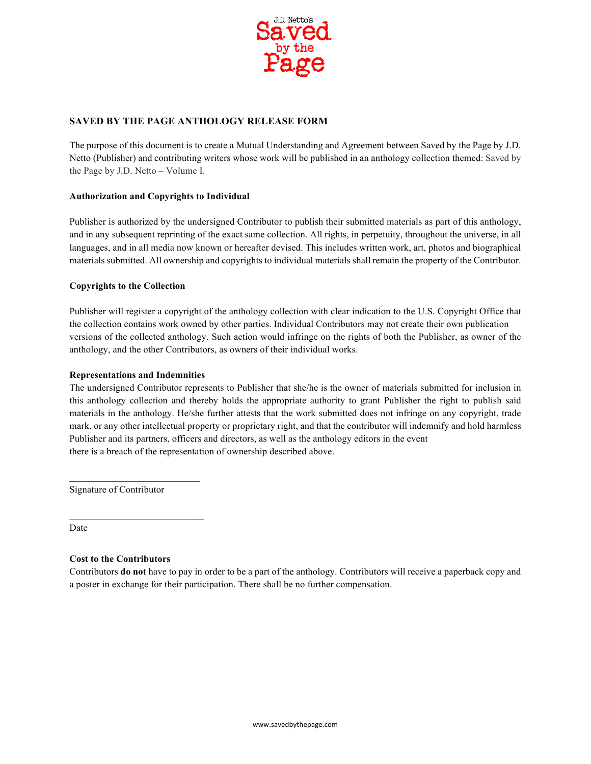

# **SAVED BY THE PAGE ANTHOLOGY RELEASE FORM**

The purpose of this document is to create a Mutual Understanding and Agreement between Saved by the Page by J.D. Netto (Publisher) and contributing writers whose work will be published in an anthology collection themed: Saved by the Page by J.D. Netto – Volume I.

### **Authorization and Copyrights to Individual**

Publisher is authorized by the undersigned Contributor to publish their submitted materials as part of this anthology, and in any subsequent reprinting of the exact same collection. All rights, in perpetuity, throughout the universe, in all languages, and in all media now known or hereafter devised. This includes written work, art, photos and biographical materials submitted. All ownership and copyrights to individual materials shall remain the property of the Contributor.

### **Copyrights to the Collection**

Publisher will register a copyright of the anthology collection with clear indication to the U.S. Copyright Office that the collection contains work owned by other parties. Individual Contributors may not create their own publication versions of the collected anthology. Such action would infringe on the rights of both the Publisher, as owner of the anthology, and the other Contributors, as owners of their individual works.

### **Representations and Indemnities**

The undersigned Contributor represents to Publisher that she/he is the owner of materials submitted for inclusion in this anthology collection and thereby holds the appropriate authority to grant Publisher the right to publish said materials in the anthology. He/she further attests that the work submitted does not infringe on any copyright, trade mark, or any other intellectual property or proprietary right, and that the contributor will indemnify and hold harmless Publisher and its partners, officers and directors, as well as the anthology editors in the event there is a breach of the representation of ownership described above.

Signature of Contributor

Date

### **Cost to the Contributors**

Contributors **do not** have to pay in order to be a part of the anthology. Contributors will receive a paperback copy and a poster in exchange for their participation. There shall be no further compensation.